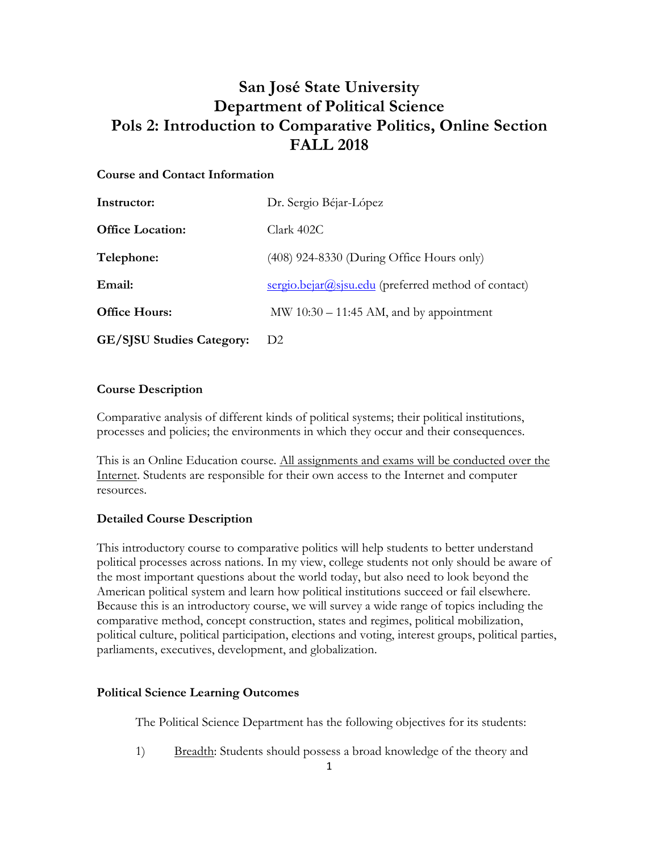# **San José State University Department of Political Science Pols 2: Introduction to Comparative Politics, Online Section FALL 2018**

### **Course and Contact Information**

| Instructor:                      | Dr. Sergio Béjar-López                              |
|----------------------------------|-----------------------------------------------------|
| <b>Office Location:</b>          | Clark 402C                                          |
| Telephone:                       | (408) 924-8330 (During Office Hours only)           |
| Email:                           | sergio.bejar@sjsu.edu (preferred method of contact) |
| <b>Office Hours:</b>             | MW $10:30 - 11:45$ AM, and by appointment           |
| <b>GE/SISU Studies Category:</b> | D <sub>2</sub>                                      |

### **Course Description**

Comparative analysis of different kinds of political systems; their political institutions, processes and policies; the environments in which they occur and their consequences.

This is an Online Education course. All assignments and exams will be conducted over the Internet. Students are responsible for their own access to the Internet and computer resources.

### **Detailed Course Description**

This introductory course to comparative politics will help students to better understand political processes across nations. In my view, college students not only should be aware of the most important questions about the world today, but also need to look beyond the American political system and learn how political institutions succeed or fail elsewhere. Because this is an introductory course, we will survey a wide range of topics including the comparative method, concept construction, states and regimes, political mobilization, political culture, political participation, elections and voting, interest groups, political parties, parliaments, executives, development, and globalization.

### **Political Science Learning Outcomes**

The Political Science Department has the following objectives for its students:

1) Breadth: Students should possess a broad knowledge of the theory and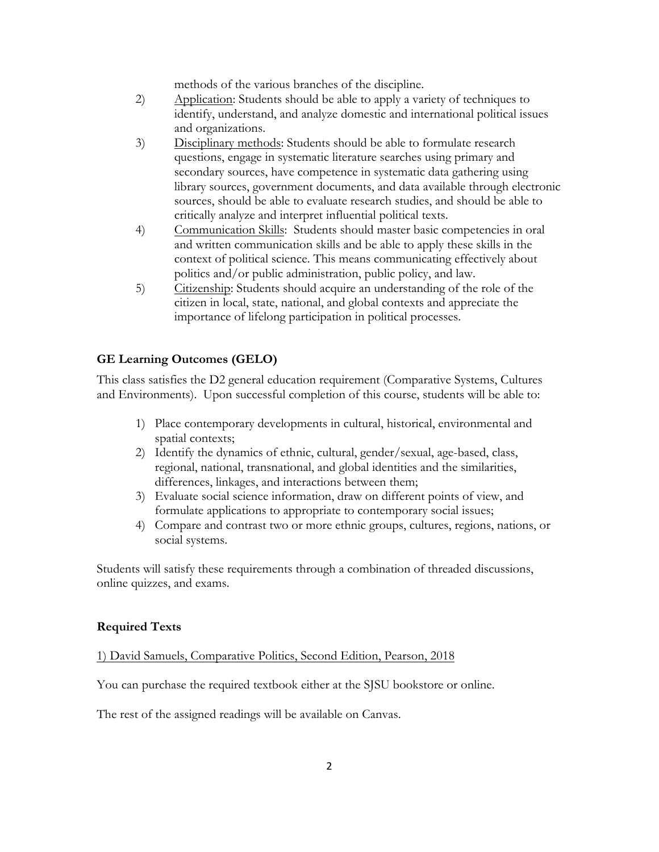methods of the various branches of the discipline.

- 2) Application: Students should be able to apply a variety of techniques to identify, understand, and analyze domestic and international political issues and organizations.
- 3) Disciplinary methods: Students should be able to formulate research questions, engage in systematic literature searches using primary and secondary sources, have competence in systematic data gathering using library sources, government documents, and data available through electronic sources, should be able to evaluate research studies, and should be able to critically analyze and interpret influential political texts.
- 4) Communication Skills: Students should master basic competencies in oral and written communication skills and be able to apply these skills in the context of political science. This means communicating effectively about politics and/or public administration, public policy, and law.
- 5) Citizenship: Students should acquire an understanding of the role of the citizen in local, state, national, and global contexts and appreciate the importance of lifelong participation in political processes.

### **GE Learning Outcomes (GELO)**

This class satisfies the D2 general education requirement (Comparative Systems, Cultures and Environments). Upon successful completion of this course, students will be able to:

- 1) Place contemporary developments in cultural, historical, environmental and spatial contexts;
- 2) Identify the dynamics of ethnic, cultural, gender/sexual, age-based, class, regional, national, transnational, and global identities and the similarities, differences, linkages, and interactions between them;
- 3) Evaluate social science information, draw on different points of view, and formulate applications to appropriate to contemporary social issues;
- 4) Compare and contrast two or more ethnic groups, cultures, regions, nations, or social systems.

Students will satisfy these requirements through a combination of threaded discussions, online quizzes, and exams.

### **Required Texts**

### 1) David Samuels, Comparative Politics, Second Edition, Pearson, 2018

You can purchase the required textbook either at the SJSU bookstore or online.

The rest of the assigned readings will be available on Canvas.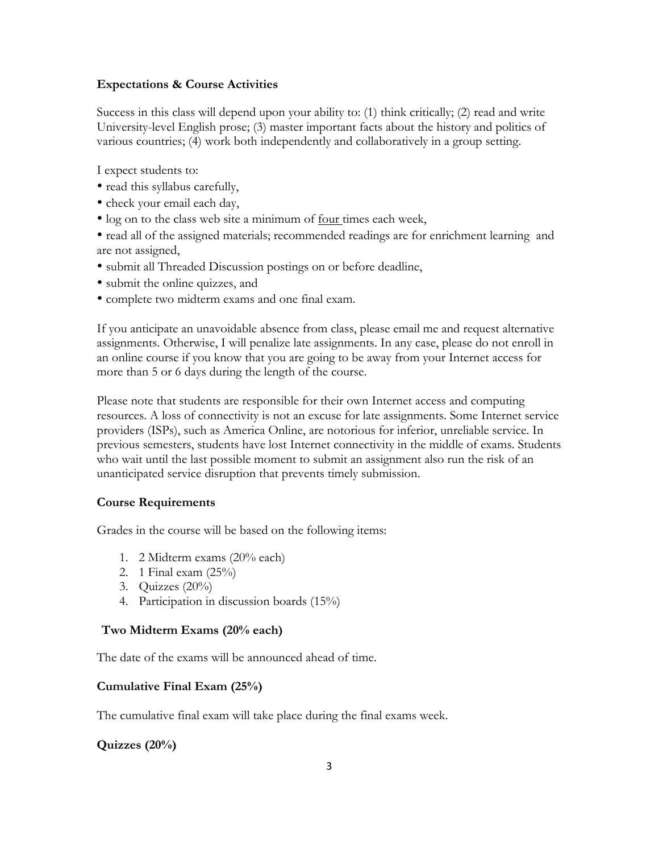### **Expectations & Course Activities**

Success in this class will depend upon your ability to: (1) think critically; (2) read and write University-level English prose; (3) master important facts about the history and politics of various countries; (4) work both independently and collaboratively in a group setting.

I expect students to:

- read this syllabus carefully,
- check your email each day,
- log on to the class web site a minimum of four times each week,

• read all of the assigned materials; recommended readings are for enrichment learning and are not assigned,

- submit all Threaded Discussion postings on or before deadline,
- submit the online quizzes, and
- complete two midterm exams and one final exam.

If you anticipate an unavoidable absence from class, please email me and request alternative assignments. Otherwise, I will penalize late assignments. In any case, please do not enroll in an online course if you know that you are going to be away from your Internet access for more than 5 or 6 days during the length of the course.

Please note that students are responsible for their own Internet access and computing resources. A loss of connectivity is not an excuse for late assignments. Some Internet service providers (ISPs), such as America Online, are notorious for inferior, unreliable service. In previous semesters, students have lost Internet connectivity in the middle of exams. Students who wait until the last possible moment to submit an assignment also run the risk of an unanticipated service disruption that prevents timely submission.

#### **Course Requirements**

Grades in the course will be based on the following items:

- 1. 2 Midterm exams (20% each)
- 2. 1 Final exam (25%)
- 3. Quizzes (20%)
- 4. Participation in discussion boards (15%)

#### **Two Midterm Exams (20% each)**

The date of the exams will be announced ahead of time.

#### **Cumulative Final Exam (25%)**

The cumulative final exam will take place during the final exams week.

### **Quizzes (20%)**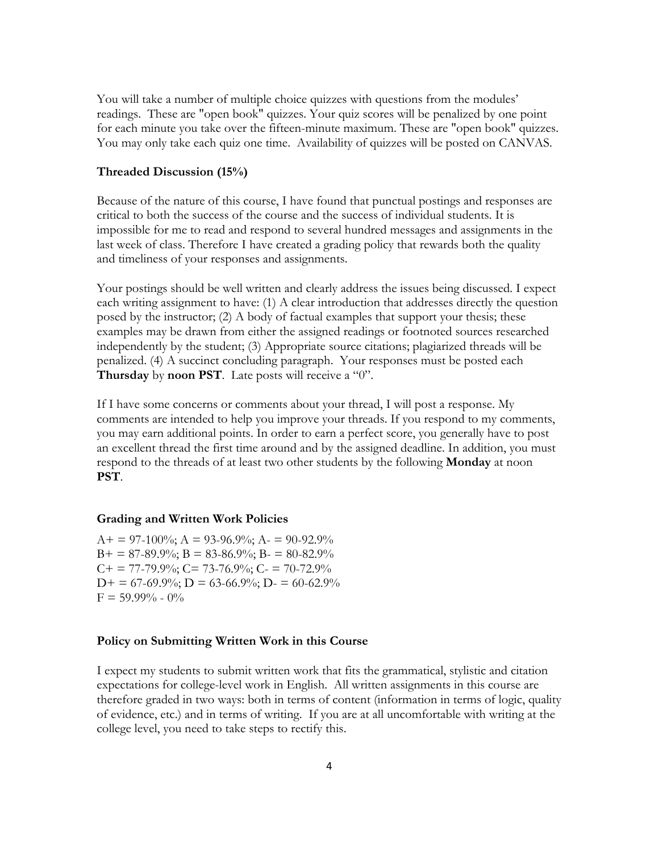You will take a number of multiple choice quizzes with questions from the modules' readings. These are "open book" quizzes. Your quiz scores will be penalized by one point for each minute you take over the fifteen-minute maximum. These are "open book" quizzes. You may only take each quiz one time. Availability of quizzes will be posted on CANVAS.

#### **Threaded Discussion (15%)**

Because of the nature of this course, I have found that punctual postings and responses are critical to both the success of the course and the success of individual students. It is impossible for me to read and respond to several hundred messages and assignments in the last week of class. Therefore I have created a grading policy that rewards both the quality and timeliness of your responses and assignments.

Your postings should be well written and clearly address the issues being discussed. I expect each writing assignment to have: (1) A clear introduction that addresses directly the question posed by the instructor; (2) A body of factual examples that support your thesis; these examples may be drawn from either the assigned readings or footnoted sources researched independently by the student; (3) Appropriate source citations; plagiarized threads will be penalized. (4) A succinct concluding paragraph. Your responses must be posted each **Thursday** by **noon PST**. Late posts will receive a "0".

If I have some concerns or comments about your thread, I will post a response. My comments are intended to help you improve your threads. If you respond to my comments, you may earn additional points. In order to earn a perfect score, you generally have to post an excellent thread the first time around and by the assigned deadline. In addition, you must respond to the threads of at least two other students by the following **Monday** at noon **PST**.

#### **Grading and Written Work Policies**

 $A+ = 97-100\%$ ;  $A = 93-96.9\%$ ;  $A- = 90-92.9\%$  $B+ = 87-89.9\%$ ;  $B = 83-86.9\%$ ;  $B = 80-82.9\%$  $C_{+}$  = 77-79.9%;  $C_{-}$  73-76.9%;  $C_{-}$  = 70-72.9%  $D+ = 67-69.9\%; D = 63-66.9\%; D = 60-62.9\%$  $F = 59.99\% - 0\%$ 

#### **Policy on Submitting Written Work in this Course**

I expect my students to submit written work that fits the grammatical, stylistic and citation expectations for college-level work in English. All written assignments in this course are therefore graded in two ways: both in terms of content (information in terms of logic, quality of evidence, etc.) and in terms of writing. If you are at all uncomfortable with writing at the college level, you need to take steps to rectify this.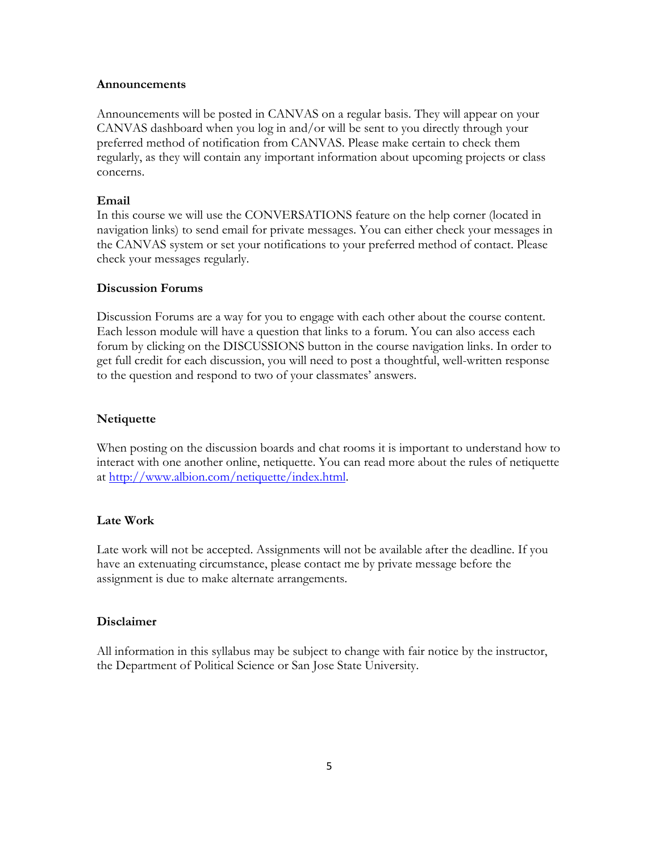#### **Announcements**

Announcements will be posted in CANVAS on a regular basis. They will appear on your CANVAS dashboard when you log in and/or will be sent to you directly through your preferred method of notification from CANVAS. Please make certain to check them regularly, as they will contain any important information about upcoming projects or class concerns.

#### **Email**

In this course we will use the CONVERSATIONS feature on the help corner (located in navigation links) to send email for private messages. You can either check your messages in the CANVAS system or set your notifications to your preferred method of contact. Please check your messages regularly.

#### **Discussion Forums**

Discussion Forums are a way for you to engage with each other about the course content. Each lesson module will have a question that links to a forum. You can also access each forum by clicking on the DISCUSSIONS button in the course navigation links. In order to get full credit for each discussion, you will need to post a thoughtful, well-written response to the question and respond to two of your classmates' answers.

#### **Netiquette**

When posting on the discussion boards and chat rooms it is important to understand how to interact with one another online, netiquette. You can read more about the rules of netiquette at http://www.albion.com/netiquette/index.html.

### **Late Work**

Late work will not be accepted. Assignments will not be available after the deadline. If you have an extenuating circumstance, please contact me by private message before the assignment is due to make alternate arrangements.

#### **Disclaimer**

All information in this syllabus may be subject to change with fair notice by the instructor, the Department of Political Science or San Jose State University.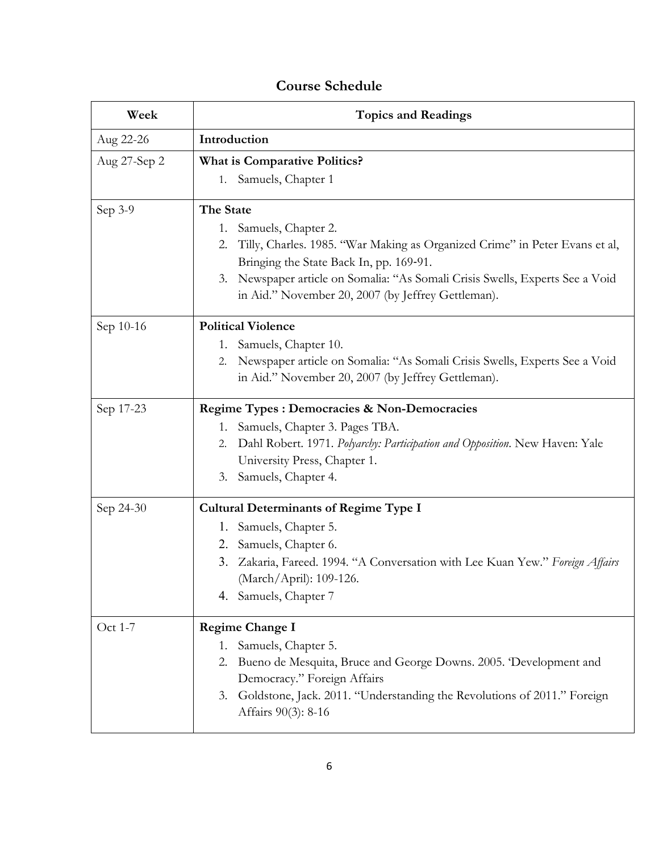## **Course Schedule**

| Week         | <b>Topics and Readings</b>                                                                                                                                                                                                                                                                                    |
|--------------|---------------------------------------------------------------------------------------------------------------------------------------------------------------------------------------------------------------------------------------------------------------------------------------------------------------|
| Aug 22-26    | Introduction                                                                                                                                                                                                                                                                                                  |
| Aug 27-Sep 2 | <b>What is Comparative Politics?</b>                                                                                                                                                                                                                                                                          |
|              | 1. Samuels, Chapter 1                                                                                                                                                                                                                                                                                         |
| Sep 3-9      | The State<br>1. Samuels, Chapter 2.<br>Tilly, Charles. 1985. "War Making as Organized Crime" in Peter Evans et al,<br>2.<br>Bringing the State Back In, pp. 169-91.<br>Newspaper article on Somalia: "As Somali Crisis Swells, Experts See a Void<br>3.<br>in Aid." November 20, 2007 (by Jeffrey Gettleman). |
| Sep 10-16    | <b>Political Violence</b><br>1. Samuels, Chapter 10.<br>Newspaper article on Somalia: "As Somali Crisis Swells, Experts See a Void<br>2.<br>in Aid." November 20, 2007 (by Jeffrey Gettleman).                                                                                                                |
| Sep 17-23    | <b>Regime Types : Democracies &amp; Non-Democracies</b><br>Samuels, Chapter 3. Pages TBA.<br>1.<br>Dahl Robert. 1971. Polyarchy: Participation and Opposition. New Haven: Yale<br>2.<br>University Press, Chapter 1.<br>3. Samuels, Chapter 4.                                                                |
| Sep 24-30    | <b>Cultural Determinants of Regime Type I</b><br>1. Samuels, Chapter 5.<br>2. Samuels, Chapter 6.<br>Zakaria, Fareed. 1994. "A Conversation with Lee Kuan Yew." Foreign Affairs<br>3.<br>(March/April): 109-126.<br>4. Samuels, Chapter 7                                                                     |
| Oct 1-7      | <b>Regime Change I</b><br>Samuels, Chapter 5.<br>1.<br>2. Bueno de Mesquita, Bruce and George Downs. 2005. 'Development and<br>Democracy." Foreign Affairs<br>3. Goldstone, Jack. 2011. "Understanding the Revolutions of 2011." Foreign<br>Affairs 90(3): 8-16                                               |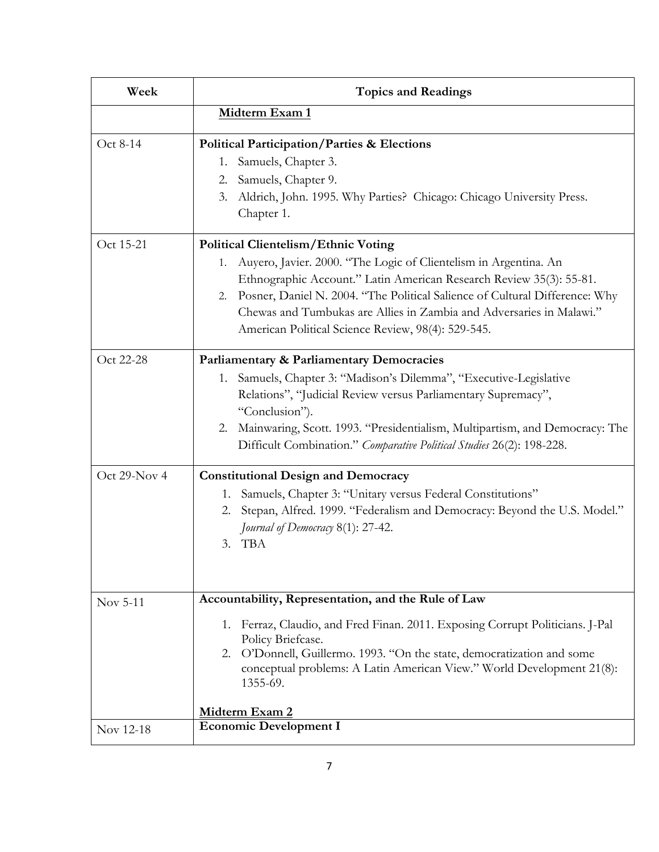| Week         | <b>Topics and Readings</b>                                                                                                                                                                                                                                                                                                                                                                                  |
|--------------|-------------------------------------------------------------------------------------------------------------------------------------------------------------------------------------------------------------------------------------------------------------------------------------------------------------------------------------------------------------------------------------------------------------|
|              | Midterm Exam 1                                                                                                                                                                                                                                                                                                                                                                                              |
| Oct 8-14     | <b>Political Participation/Parties &amp; Elections</b><br>Samuels, Chapter 3.<br>1.<br>Samuels, Chapter 9.<br>2.<br>3.<br>Aldrich, John. 1995. Why Parties? Chicago: Chicago University Press.<br>Chapter 1.                                                                                                                                                                                                |
| Oct 15-21    | <b>Political Clientelism/Ethnic Voting</b><br>Auyero, Javier. 2000. "The Logic of Clientelism in Argentina. An<br>1.<br>Ethnographic Account." Latin American Research Review 35(3): 55-81.<br>2. Posner, Daniel N. 2004. "The Political Salience of Cultural Difference: Why<br>Chewas and Tumbukas are Allies in Zambia and Adversaries in Malawi."<br>American Political Science Review, 98(4): 529-545. |
| Oct 22-28    | <b>Parliamentary &amp; Parliamentary Democracies</b><br>Samuels, Chapter 3: "Madison's Dilemma", "Executive-Legislative<br>1.<br>Relations", "Judicial Review versus Parliamentary Supremacy",<br>"Conclusion").<br>Mainwaring, Scott. 1993. "Presidentialism, Multipartism, and Democracy: The<br>2.<br>Difficult Combination." Comparative Political Studies 26(2): 198-228.                              |
| Oct 29-Nov 4 | <b>Constitutional Design and Democracy</b><br>Samuels, Chapter 3: "Unitary versus Federal Constitutions"<br>1.<br>Stepan, Alfred. 1999. "Federalism and Democracy: Beyond the U.S. Model."<br>2.<br>Journal of Democracy 8(1): 27-42.<br>3. TBA                                                                                                                                                             |
| Nov 5-11     | Accountability, Representation, and the Rule of Law<br>1. Ferraz, Claudio, and Fred Finan. 2011. Exposing Corrupt Politicians. J-Pal<br>Policy Briefcase.<br>2. O'Donnell, Guillermo. 1993. "On the state, democratization and some<br>conceptual problems: A Latin American View." World Development 21(8):<br>1355-69.                                                                                    |
|              | Midterm Exam 2<br><b>Economic Development I</b>                                                                                                                                                                                                                                                                                                                                                             |
| Nov 12-18    |                                                                                                                                                                                                                                                                                                                                                                                                             |